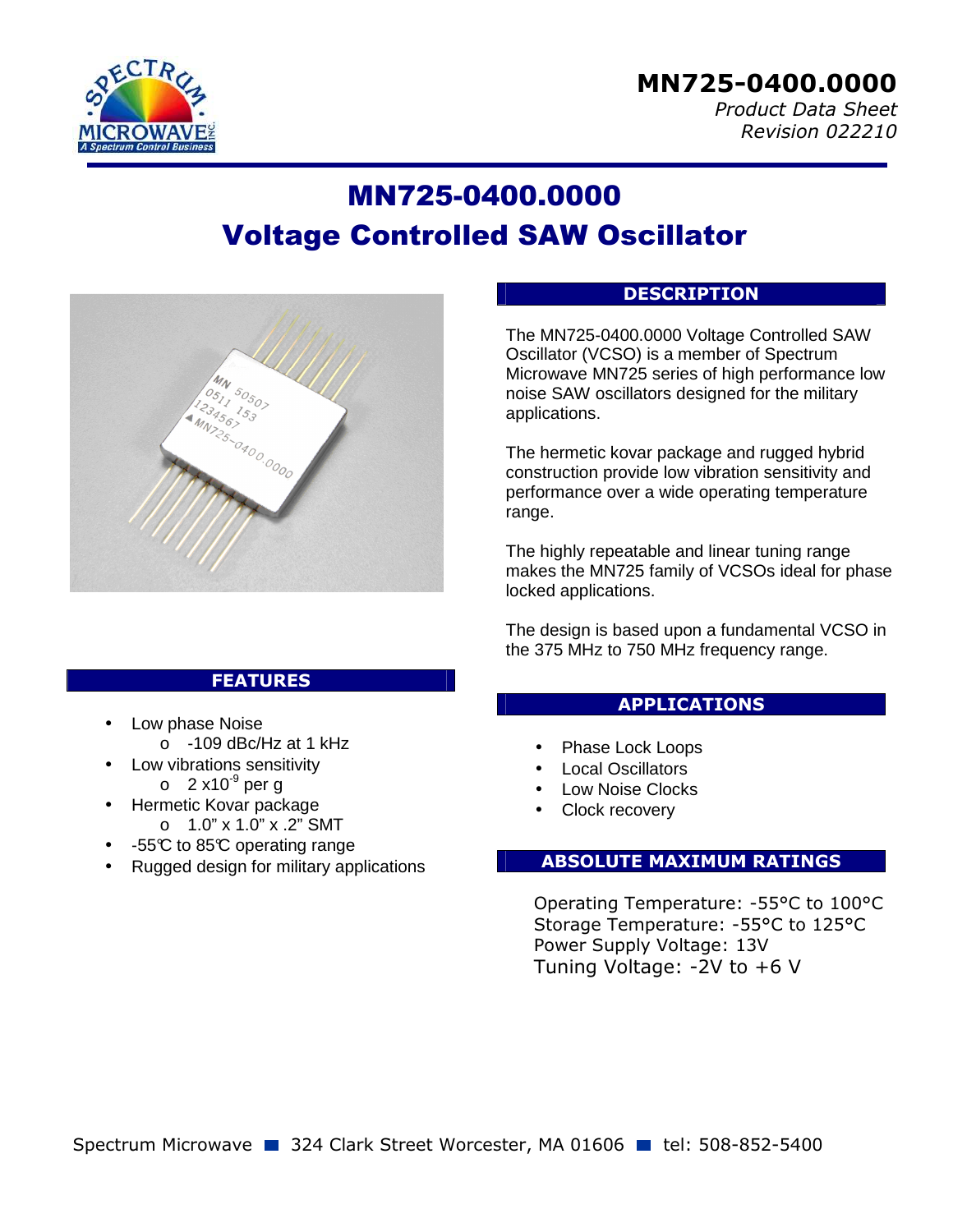

## *Product Data Sheet Revision 022210*

# MN725-0400.0000 Voltage Controlled SAW Oscillator



## **DESCRIPTION**

The MN725-0400.0000 Voltage Controlled SAW Oscillator (VCSO) is a member of Spectrum Microwave MN725 series of high performance low noise SAW oscillators designed for the military applications.

The hermetic kovar package and rugged hybrid construction provide low vibration sensitivity and performance over a wide operating temperature range.

The highly repeatable and linear tuning range makes the MN725 family of VCSOs ideal for phase locked applications.

The design is based upon a fundamental VCSO in the 375 MHz to 750 MHz frequency range.

## **APPLICATIONS**

- Phase Lock Loops
- Local Oscillators
- Low Noise Clocks
- Clock recovery

## **ABSOLUTE MAXIMUM RATINGS**

Operating Temperature: -55°C to 100°C Storage Temperature: -55°C to 125°C Power Supply Voltage: 13V Tuning Voltage: -2V to +6 V

## Spectrum Microwave 2324 Clark Street Worcester, MA 01606 1 tel: 508-852-5400

# **FEATURES**

- Low phase Noise
	- o -109 dBc/Hz at 1 kHz
	- Low vibrations sensitivity  $\circ$  2 x10<sup>-9</sup> per g
- Hermetic Kovar package  $O$  1.0" x 1.0" x .2" SMT
- -55°C to 85°C operating range
- Rugged design for military applications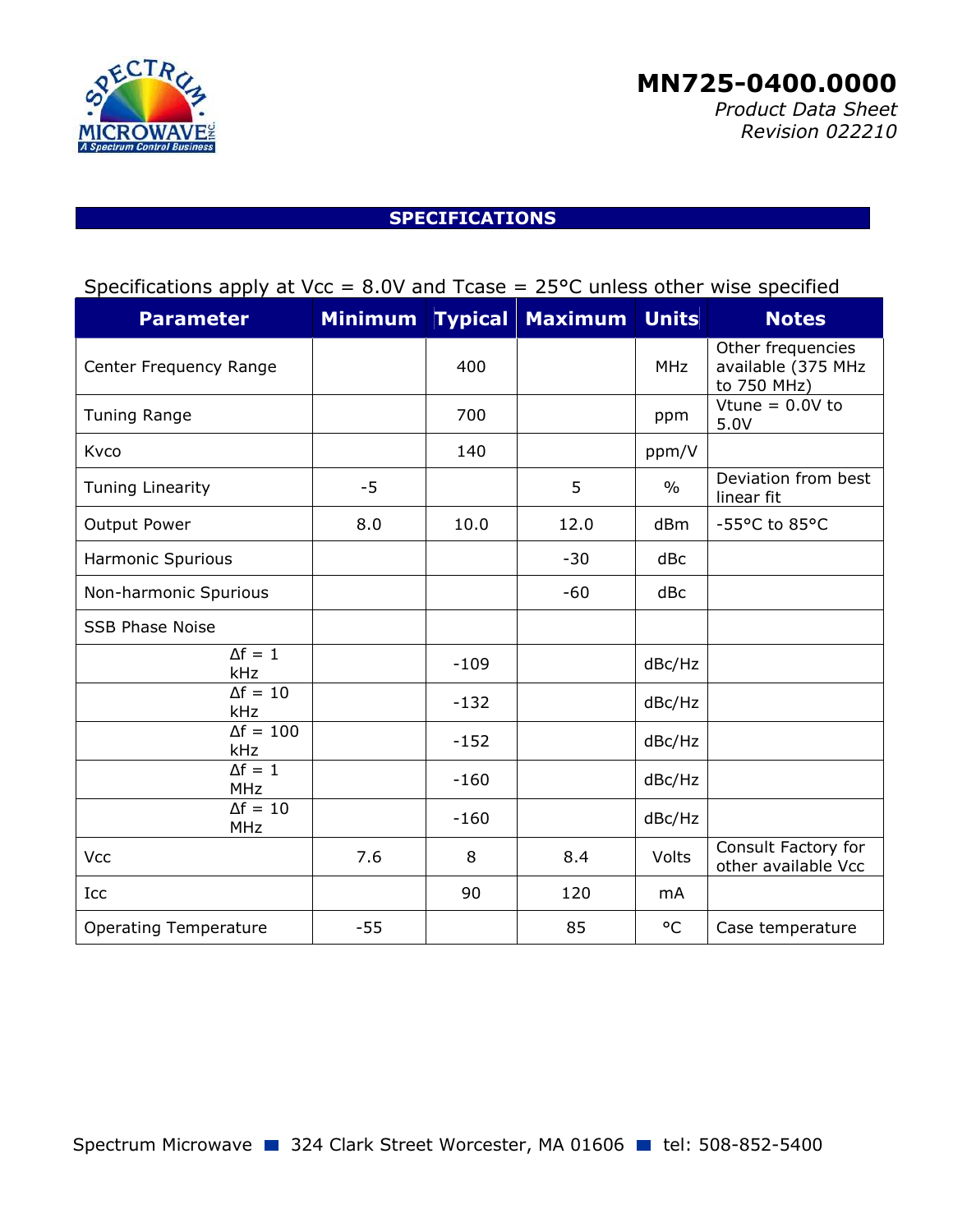

 *Product Data Sheet Revision 022210*

# **SPECIFICATIONS**

# Specifications apply at Vcc =  $8.0V$  and Tcase =  $25^{\circ}$ C unless other wise specified

| <b>Parameter</b>              | <b>Minimum</b> | <b>Typical</b> | <b>Maximum</b> | <b>Units</b>  | <b>Notes</b>                                           |
|-------------------------------|----------------|----------------|----------------|---------------|--------------------------------------------------------|
| Center Frequency Range        |                | 400            |                | <b>MHz</b>    | Other frequencies<br>available (375 MHz<br>to 750 MHz) |
| <b>Tuning Range</b>           |                | 700            |                | ppm           | Vtune = $0.0V$ to<br>5.0V                              |
| Kvco                          |                | 140            |                | ppm/V         |                                                        |
| <b>Tuning Linearity</b>       | $-5$           |                | 5              | $\frac{0}{0}$ | Deviation from best<br>linear fit                      |
| Output Power                  | 8.0            | 10.0           | 12.0           | dBm           | -55°C to 85°C                                          |
| <b>Harmonic Spurious</b>      |                |                | $-30$          | dBc           |                                                        |
| Non-harmonic Spurious         |                |                | $-60$          | dBc           |                                                        |
| <b>SSB Phase Noise</b>        |                |                |                |               |                                                        |
| $\Delta f = 1$<br>kHz         |                | $-109$         |                | dBc/Hz        |                                                        |
| $\Delta f = 10$<br>kHz        |                | $-132$         |                | dBc/Hz        |                                                        |
| $\Delta f = 100$<br>kHz       |                | $-152$         |                | dBc/Hz        |                                                        |
| $\Delta f = 1$<br><b>MHz</b>  |                | $-160$         |                | dBc/Hz        |                                                        |
| $\Delta f = 10$<br><b>MHz</b> |                | $-160$         |                | dBc/Hz        |                                                        |
| Vcc                           | 7.6            | 8              | 8.4            | Volts         | Consult Factory for<br>other available Vcc             |
| Icc                           |                | 90             | 120            | mA            |                                                        |
| <b>Operating Temperature</b>  | $-55$          |                | 85             | °C            | Case temperature                                       |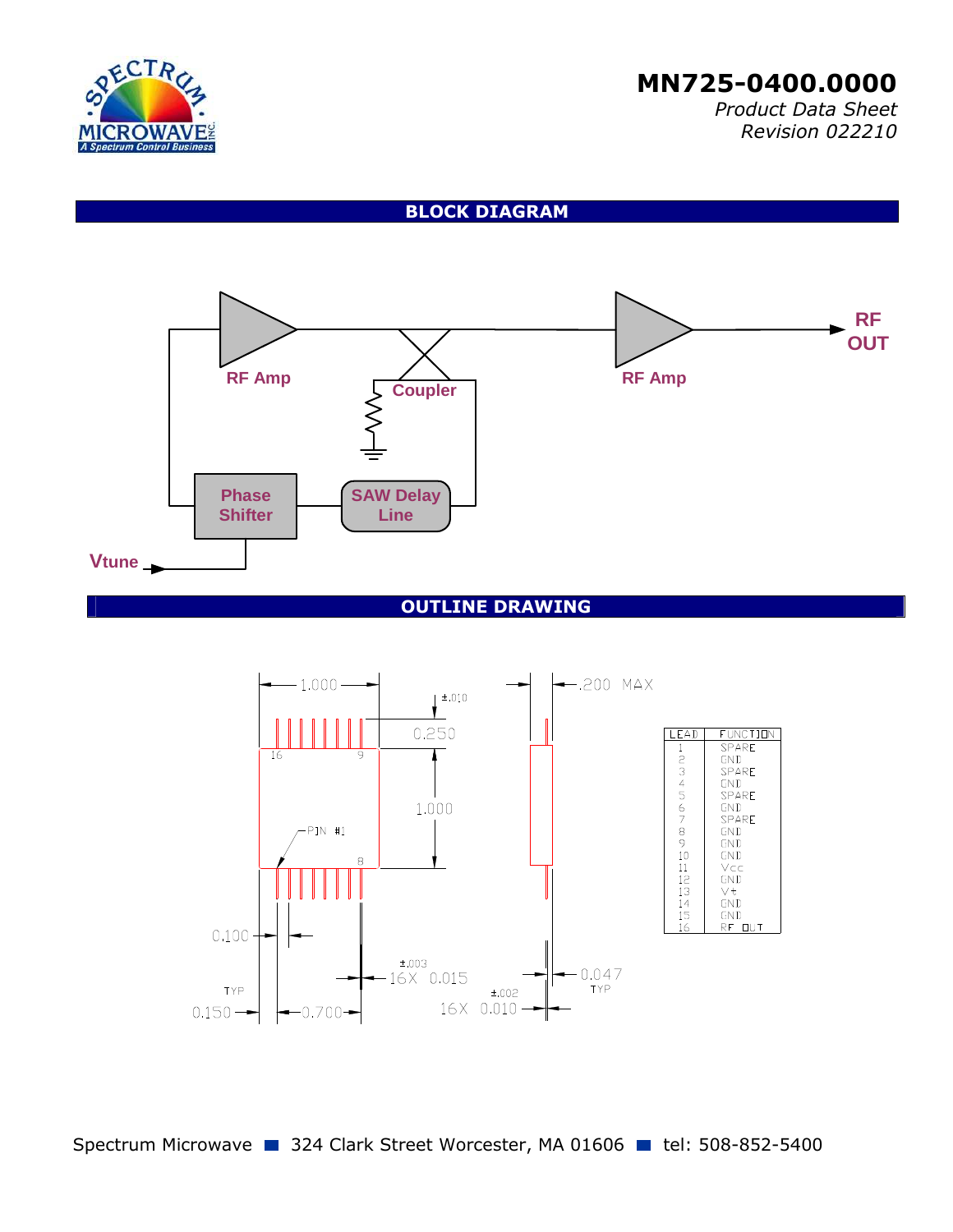

 *Product Data Sheet Revision 022210*

**BLOCK DIAGRAM** 



#### **OUTLINE DRAWING**